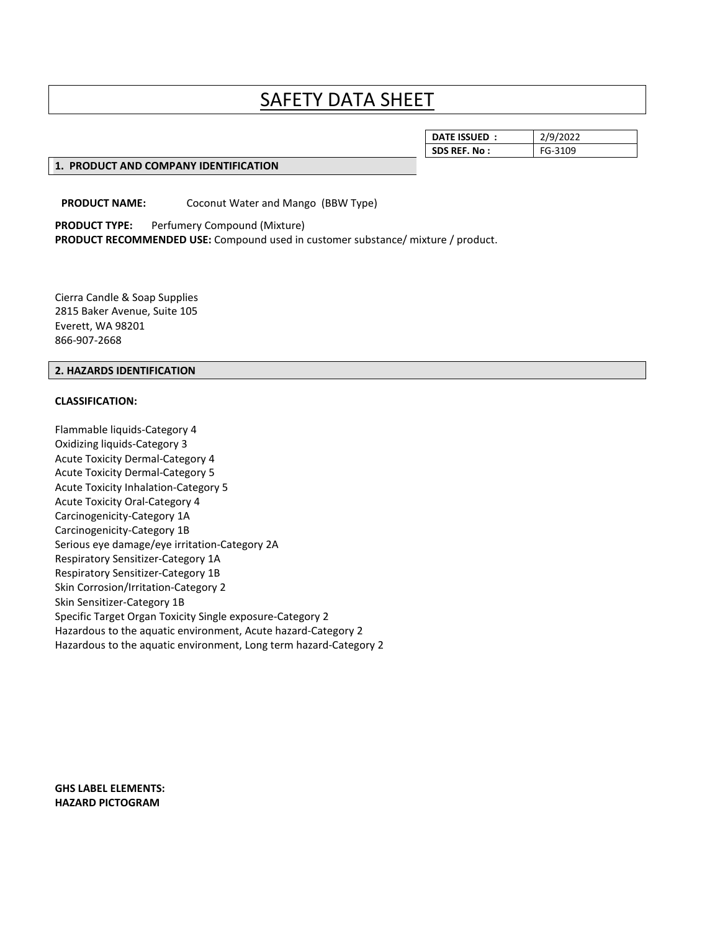# SAFETY DATA SHEET

| <b>SDS REF. No:</b><br>FG-3109 | <b>DATE ISSUED</b> | /9/2022 |
|--------------------------------|--------------------|---------|
|                                |                    |         |

#### **1. PRODUCT AND COMPANY IDENTIFICATION**

**PRODUCT NAME:** Coconut Water and Mango (BBW Type)

**PRODUCT TYPE:** Perfumery Compound (Mixture) **PRODUCT RECOMMENDED USE:** Compound used in customer substance/ mixture / product.

Cierra Candle & Soap Supplies 2815 Baker Avenue, Suite 105 Everett, WA 98201 866-907-2668

#### **2. HAZARDS IDENTIFICATION**

#### **CLASSIFICATION:**

Flammable liquids-Category 4 Oxidizing liquids-Category 3 Acute Toxicity Dermal-Category 4 Acute Toxicity Dermal-Category 5 Acute Toxicity Inhalation-Category 5 Acute Toxicity Oral-Category 4 Carcinogenicity-Category 1A Carcinogenicity-Category 1B Serious eye damage/eye irritation-Category 2A Respiratory Sensitizer-Category 1A Respiratory Sensitizer-Category 1B Skin Corrosion/Irritation-Category 2 Skin Sensitizer-Category 1B Specific Target Organ Toxicity Single exposure-Category 2 Hazardous to the aquatic environment, Acute hazard-Category 2 Hazardous to the aquatic environment, Long term hazard-Category 2

**GHS LABEL ELEMENTS: HAZARD PICTOGRAM**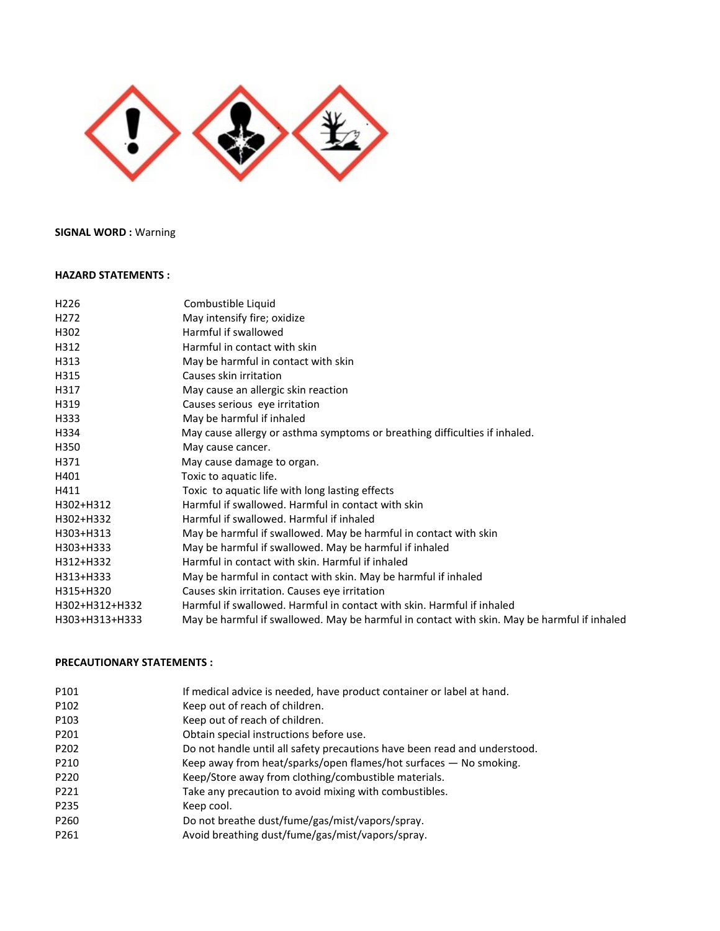# **SIGNAL WORD :** Warning

#### **HAZARD STATEMENTS :**

| H <sub>226</sub> | Combustible Liquid                                                                          |
|------------------|---------------------------------------------------------------------------------------------|
| H <sub>272</sub> | May intensify fire; oxidize                                                                 |
| H302             | Harmful if swallowed                                                                        |
| H312             | Harmful in contact with skin                                                                |
| H313             | May be harmful in contact with skin                                                         |
| H315             | Causes skin irritation                                                                      |
| H317             | May cause an allergic skin reaction                                                         |
| H319             | Causes serious eye irritation                                                               |
| H333             | May be harmful if inhaled                                                                   |
| H334             | May cause allergy or asthma symptoms or breathing difficulties if inhaled.                  |
| H350             | May cause cancer.                                                                           |
| H371             | May cause damage to organ.                                                                  |
| H401             | Toxic to aquatic life.                                                                      |
| H411             | Toxic to aquatic life with long lasting effects                                             |
| H302+H312        | Harmful if swallowed. Harmful in contact with skin                                          |
| H302+H332        | Harmful if swallowed. Harmful if inhaled                                                    |
| H303+H313        | May be harmful if swallowed. May be harmful in contact with skin                            |
| H303+H333        | May be harmful if swallowed. May be harmful if inhaled                                      |
| H312+H332        | Harmful in contact with skin. Harmful if inhaled                                            |
| H313+H333        | May be harmful in contact with skin. May be harmful if inhaled                              |
| H315+H320        | Causes skin irritation. Causes eye irritation                                               |
| H302+H312+H332   | Harmful if swallowed. Harmful in contact with skin. Harmful if inhaled                      |
| H303+H313+H333   | May be harmful if swallowed. May be harmful in contact with skin. May be harmful if inhaled |
|                  |                                                                                             |

#### **PRECAUTIONARY STATEMENTS :**

| P101             | If medical advice is needed, have product container or label at hand.     |
|------------------|---------------------------------------------------------------------------|
| P102             | Keep out of reach of children.                                            |
| P103             | Keep out of reach of children.                                            |
| P201             | Obtain special instructions before use.                                   |
| P <sub>202</sub> | Do not handle until all safety precautions have been read and understood. |
| P210             | Keep away from heat/sparks/open flames/hot surfaces - No smoking.         |
| P <sub>220</sub> | Keep/Store away from clothing/combustible materials.                      |
| P221             | Take any precaution to avoid mixing with combustibles.                    |
| P235             | Keep cool.                                                                |
| P260             | Do not breathe dust/fume/gas/mist/vapors/spray.                           |
| P261             | Avoid breathing dust/fume/gas/mist/vapors/spray.                          |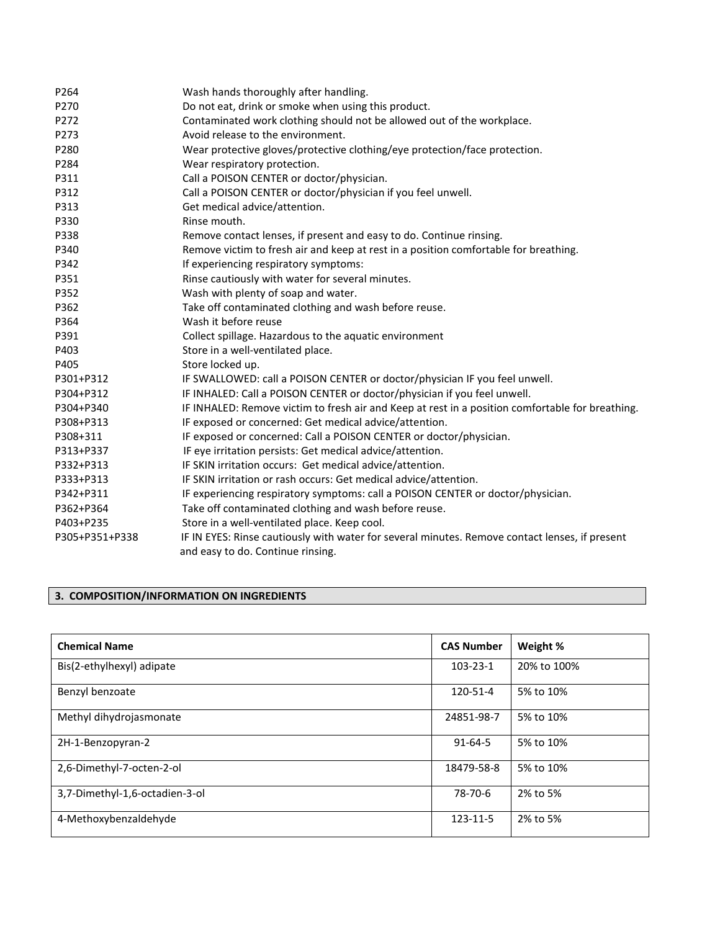| P264           | Wash hands thoroughly after handling.                                                            |
|----------------|--------------------------------------------------------------------------------------------------|
| P270           | Do not eat, drink or smoke when using this product.                                              |
| P272           | Contaminated work clothing should not be allowed out of the workplace.                           |
| P273           | Avoid release to the environment.                                                                |
| P280           | Wear protective gloves/protective clothing/eye protection/face protection.                       |
| P284           | Wear respiratory protection.                                                                     |
| P311           | Call a POISON CENTER or doctor/physician.                                                        |
| P312           | Call a POISON CENTER or doctor/physician if you feel unwell.                                     |
| P313           | Get medical advice/attention.                                                                    |
| P330           | Rinse mouth.                                                                                     |
| P338           | Remove contact lenses, if present and easy to do. Continue rinsing.                              |
| P340           | Remove victim to fresh air and keep at rest in a position comfortable for breathing.             |
| P342           | If experiencing respiratory symptoms:                                                            |
| P351           | Rinse cautiously with water for several minutes.                                                 |
| P352           | Wash with plenty of soap and water.                                                              |
| P362           | Take off contaminated clothing and wash before reuse.                                            |
| P364           | Wash it before reuse                                                                             |
| P391           | Collect spillage. Hazardous to the aquatic environment                                           |
| P403           | Store in a well-ventilated place.                                                                |
| P405           | Store locked up.                                                                                 |
| P301+P312      | IF SWALLOWED: call a POISON CENTER or doctor/physician IF you feel unwell.                       |
| P304+P312      | IF INHALED: Call a POISON CENTER or doctor/physician if you feel unwell.                         |
| P304+P340      | IF INHALED: Remove victim to fresh air and Keep at rest in a position comfortable for breathing. |
| P308+P313      | IF exposed or concerned: Get medical advice/attention.                                           |
| P308+311       | IF exposed or concerned: Call a POISON CENTER or doctor/physician.                               |
| P313+P337      | IF eye irritation persists: Get medical advice/attention.                                        |
| P332+P313      | IF SKIN irritation occurs: Get medical advice/attention.                                         |
| P333+P313      | IF SKIN irritation or rash occurs: Get medical advice/attention.                                 |
| P342+P311      | IF experiencing respiratory symptoms: call a POISON CENTER or doctor/physician.                  |
| P362+P364      | Take off contaminated clothing and wash before reuse.                                            |
| P403+P235      | Store in a well-ventilated place. Keep cool.                                                     |
| P305+P351+P338 | IF IN EYES: Rinse cautiously with water for several minutes. Remove contact lenses, if present   |
|                | and easy to do. Continue rinsing.                                                                |

# **3. COMPOSITION/INFORMATION ON INGREDIENTS**

| <b>Chemical Name</b>           | <b>CAS Number</b> | Weight %    |
|--------------------------------|-------------------|-------------|
| Bis(2-ethylhexyl) adipate      | 103-23-1          | 20% to 100% |
| Benzyl benzoate                | 120-51-4          | 5% to 10%   |
| Methyl dihydrojasmonate        | 24851-98-7        | 5% to 10%   |
| 2H-1-Benzopyran-2              | $91 - 64 - 5$     | 5% to 10%   |
| 2,6-Dimethyl-7-octen-2-ol      | 18479-58-8        | 5% to 10%   |
| 3,7-Dimethyl-1,6-octadien-3-ol | 78-70-6           | 2% to 5%    |
| 4-Methoxybenzaldehyde          | 123-11-5          | 2% to 5%    |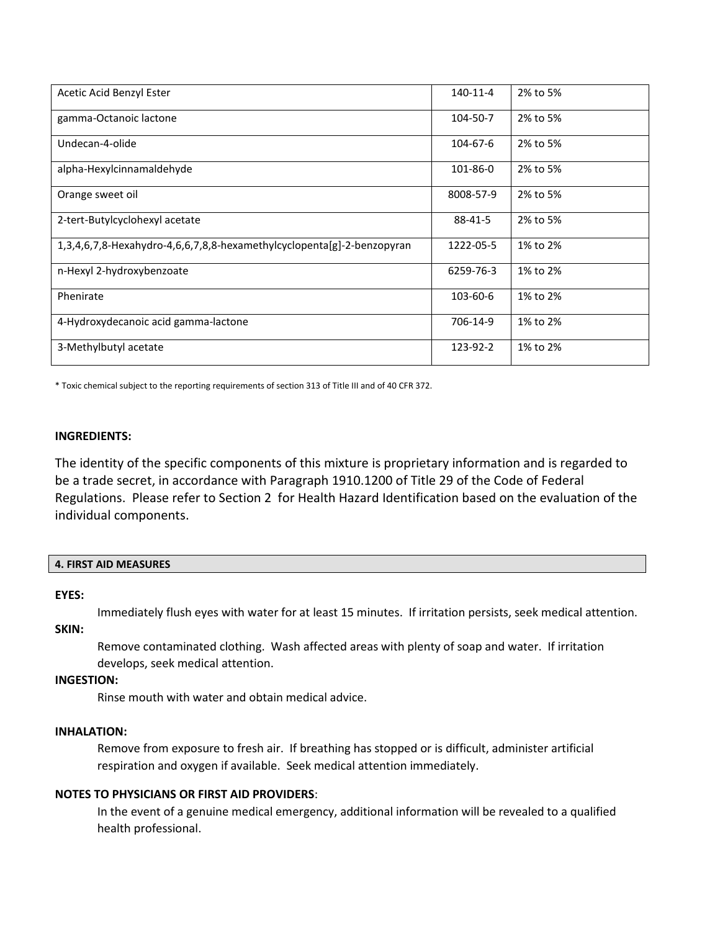| Acetic Acid Benzyl Ester                                               | 140-11-4  | 2% to 5% |
|------------------------------------------------------------------------|-----------|----------|
| gamma-Octanoic lactone                                                 | 104-50-7  | 2% to 5% |
| Undecan-4-olide                                                        | 104-67-6  | 2% to 5% |
| alpha-Hexylcinnamaldehyde                                              | 101-86-0  | 2% to 5% |
| Orange sweet oil                                                       | 8008-57-9 | 2% to 5% |
| 2-tert-Butylcyclohexyl acetate                                         | 88-41-5   | 2% to 5% |
| 1,3,4,6,7,8-Hexahydro-4,6,6,7,8,8-hexamethylcyclopenta[g]-2-benzopyran | 1222-05-5 | 1% to 2% |
| n-Hexyl 2-hydroxybenzoate                                              | 6259-76-3 | 1% to 2% |
| Phenirate                                                              | 103-60-6  | 1% to 2% |
| 4-Hydroxydecanoic acid gamma-lactone                                   | 706-14-9  | 1% to 2% |
| 3-Methylbutyl acetate                                                  | 123-92-2  | 1% to 2% |

\* Toxic chemical subject to the reporting requirements of section 313 of Title III and of 40 CFR 372.

#### **INGREDIENTS:**

The identity of the specific components of this mixture is proprietary information and is regarded to be a trade secret, in accordance with Paragraph 1910.1200 of Title 29 of the Code of Federal Regulations. Please refer to Section 2 for Health Hazard Identification based on the evaluation of the individual components.

#### **EYES:**

Immediately flush eyes with water for at least 15 minutes. If irritation persists, seek medical attention.

# **SKIN:**

Remove contaminated clothing. Wash affected areas with plenty of soap and water. If irritation develops, seek medical attention.

#### **INGESTION:**

Rinse mouth with water and obtain medical advice.

#### **INHALATION:**

Remove from exposure to fresh air. If breathing has stopped or is difficult, administer artificial respiration and oxygen if available. Seek medical attention immediately.

# **NOTES TO PHYSICIANS OR FIRST AID PROVIDERS**:

In the event of a genuine medical emergency, additional information will be revealed to a qualified health professional.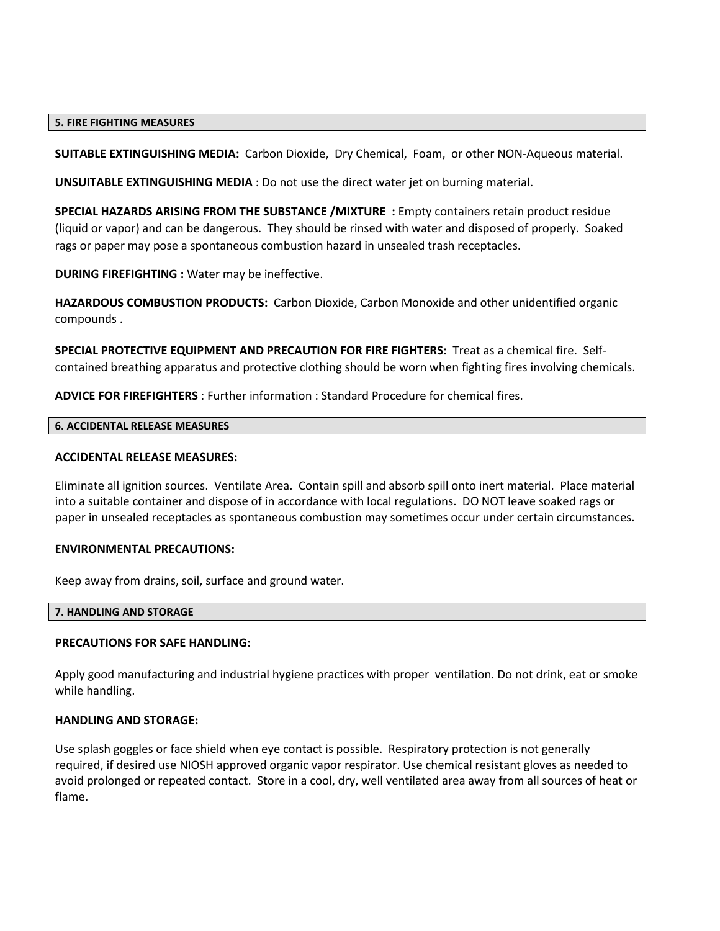#### **5. FIRE FIGHTING MEASURES**

**SUITABLE EXTINGUISHING MEDIA:** Carbon Dioxide, Dry Chemical, Foam, or other NON-Aqueous material.

**UNSUITABLE EXTINGUISHING MEDIA** : Do not use the direct water jet on burning material.

**SPECIAL HAZARDS ARISING FROM THE SUBSTANCE /MIXTURE :** Empty containers retain product residue (liquid or vapor) and can be dangerous. They should be rinsed with water and disposed of properly. Soaked rags or paper may pose a spontaneous combustion hazard in unsealed trash receptacles.

**DURING FIREFIGHTING :** Water may be ineffective.

**HAZARDOUS COMBUSTION PRODUCTS:** Carbon Dioxide, Carbon Monoxide and other unidentified organic compounds .

**SPECIAL PROTECTIVE EQUIPMENT AND PRECAUTION FOR FIRE FIGHTERS:** Treat as a chemical fire. Selfcontained breathing apparatus and protective clothing should be worn when fighting fires involving chemicals.

**ADVICE FOR FIREFIGHTERS** : Further information : Standard Procedure for chemical fires.

#### **6. ACCIDENTAL RELEASE MEASURES**

#### **ACCIDENTAL RELEASE MEASURES:**

Eliminate all ignition sources. Ventilate Area. Contain spill and absorb spill onto inert material. Place material into a suitable container and dispose of in accordance with local regulations. DO NOT leave soaked rags or paper in unsealed receptacles as spontaneous combustion may sometimes occur under certain circumstances.

#### **ENVIRONMENTAL PRECAUTIONS:**

Keep away from drains, soil, surface and ground water.

#### **7. HANDLING AND STORAGE**

#### **PRECAUTIONS FOR SAFE HANDLING:**

Apply good manufacturing and industrial hygiene practices with proper ventilation. Do not drink, eat or smoke while handling.

#### **HANDLING AND STORAGE:**

Use splash goggles or face shield when eye contact is possible. Respiratory protection is not generally required, if desired use NIOSH approved organic vapor respirator. Use chemical resistant gloves as needed to avoid prolonged or repeated contact. Store in a cool, dry, well ventilated area away from all sources of heat or flame.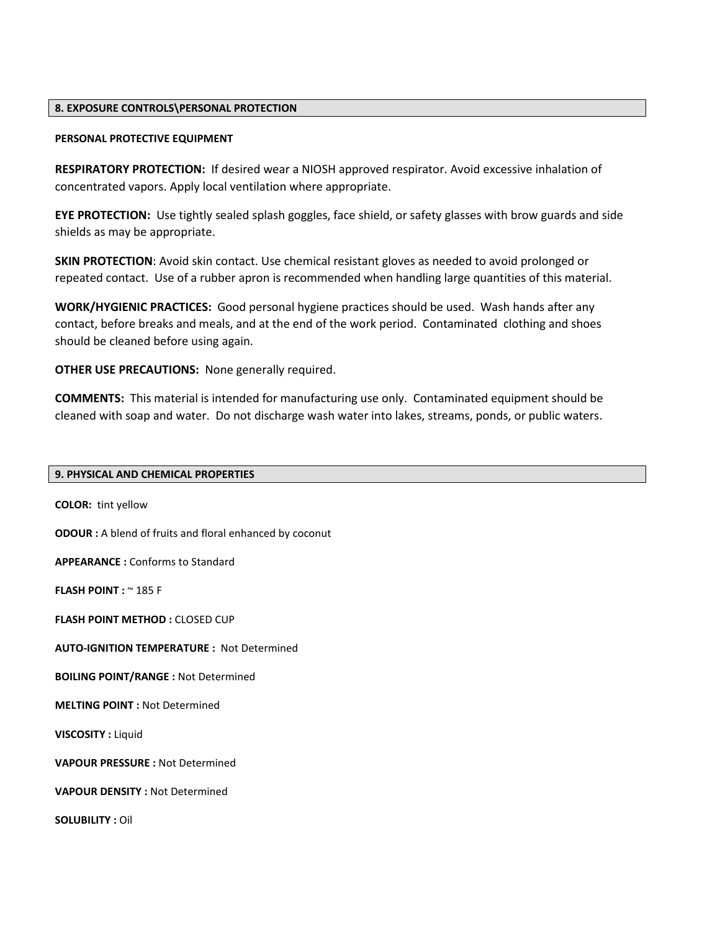#### **8. EXPOSURE CONTROLS\PERSONAL PROTECTION**

#### **PERSONAL PROTECTIVE EQUIPMENT**

**RESPIRATORY PROTECTION:** If desired wear a NIOSH approved respirator. Avoid excessive inhalation of concentrated vapors. Apply local ventilation where appropriate.

**EYE PROTECTION:** Use tightly sealed splash goggles, face shield, or safety glasses with brow guards and side shields as may be appropriate.

**SKIN PROTECTION**: Avoid skin contact. Use chemical resistant gloves as needed to avoid prolonged or repeated contact. Use of a rubber apron is recommended when handling large quantities of this material.

**WORK/HYGIENIC PRACTICES:** Good personal hygiene practices should be used. Wash hands after any contact, before breaks and meals, and at the end of the work period. Contaminated clothing and shoes should be cleaned before using again.

**OTHER USE PRECAUTIONS:** None generally required.

**COMMENTS:** This material is intended for manufacturing use only. Contaminated equipment should be cleaned with soap and water. Do not discharge wash water into lakes, streams, ponds, or public waters.

#### **9. PHYSICAL AND CHEMICAL PROPERTIES**

**COLOR:** tint yellow **ODOUR :** A blend of fruits and floral enhanced by coconut **APPEARANCE :** Conforms to Standard **FLASH POINT :** ~ 185 F **FLASH POINT METHOD: CLOSED CUP AUTO-IGNITION TEMPERATURE :** Not Determined **BOILING POINT/RANGE :** Not Determined **MELTING POINT :** Not Determined **VISCOSITY :** Liquid **VAPOUR PRESSURE :** Not Determined **VAPOUR DENSITY :** Not Determined **SOLUBILITY :** Oil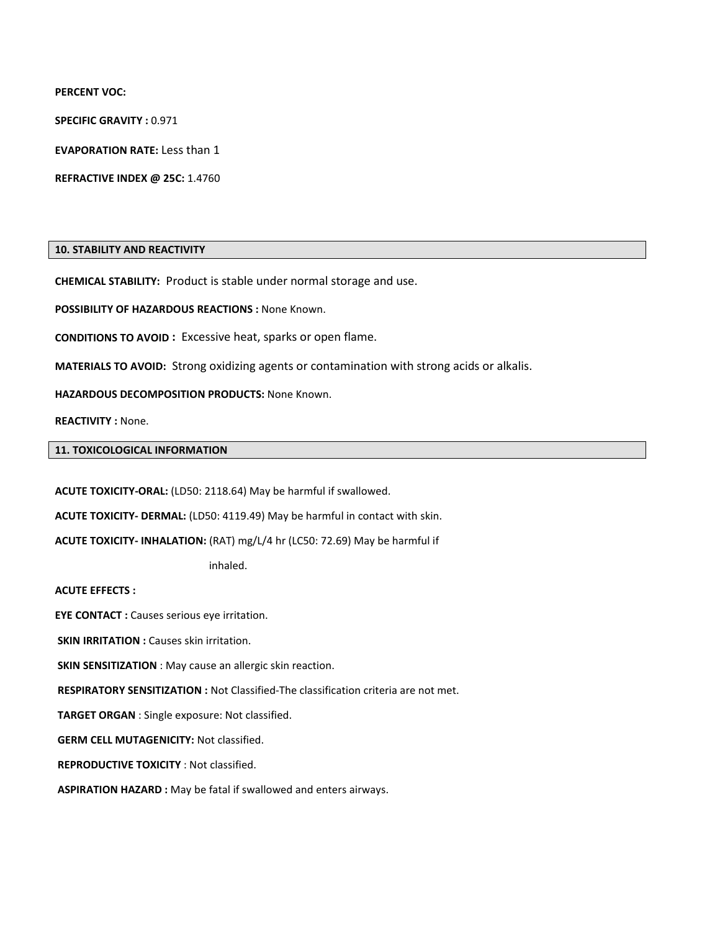**PERCENT VOC:** 

**SPECIFIC GRAVITY :** 0.971

**EVAPORATION RATE:** Less than 1

**REFRACTIVE INDEX @ 25C:** 1.4760

### **10. STABILITY AND REACTIVITY**

**CHEMICAL STABILITY:** Product is stable under normal storage and use.

**POSSIBILITY OF HAZARDOUS REACTIONS :** None Known.

**CONDITIONS TO AVOID :** Excessive heat, sparks or open flame.

**MATERIALS TO AVOID:** Strong oxidizing agents or contamination with strong acids or alkalis.

**HAZARDOUS DECOMPOSITION PRODUCTS:** None Known.

**REACTIVITY :** None.

#### **11. TOXICOLOGICAL INFORMATION**

**ACUTE TOXICITY-ORAL:** (LD50: 2118.64) May be harmful if swallowed.

**ACUTE TOXICITY- DERMAL:** (LD50: 4119.49) May be harmful in contact with skin.

**ACUTE TOXICITY- INHALATION:** (RAT) mg/L/4 hr (LC50: 72.69) May be harmful if

inhaled.

**ACUTE EFFECTS :** 

**EYE CONTACT :** Causes serious eye irritation.

**SKIN IRRITATION : Causes skin irritation.** 

**SKIN SENSITIZATION** : May cause an allergic skin reaction.

**RESPIRATORY SENSITIZATION :** Not Classified-The classification criteria are not met.

**TARGET ORGAN** : Single exposure: Not classified.

**GERM CELL MUTAGENICITY:** Not classified.

**REPRODUCTIVE TOXICITY** : Not classified.

**ASPIRATION HAZARD :** May be fatal if swallowed and enters airways.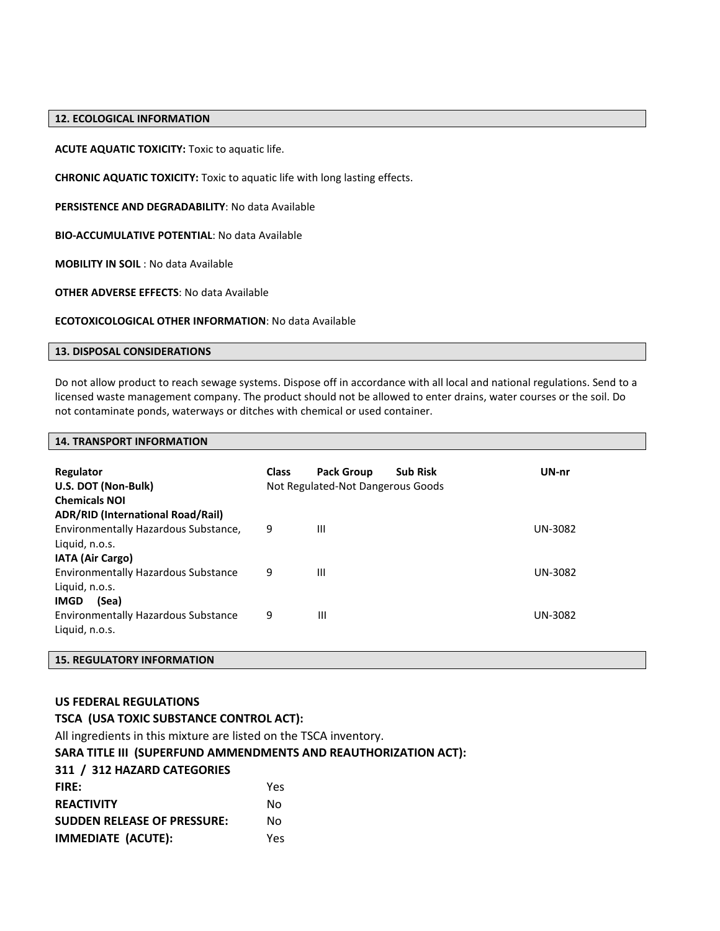#### **12. ECOLOGICAL INFORMATION**

**ACUTE AQUATIC TOXICITY:** Toxic to aquatic life.

**CHRONIC AQUATIC TOXICITY:** Toxic to aquatic life with long lasting effects.

**PERSISTENCE AND DEGRADABILITY**: No data Available

**BIO-ACCUMULATIVE POTENTIAL**: No data Available

**MOBILITY IN SOIL** : No data Available

**OTHER ADVERSE EFFECTS**: No data Available

**ECOTOXICOLOGICAL OTHER INFORMATION**: No data Available

#### **13. DISPOSAL CONSIDERATIONS**

Do not allow product to reach sewage systems. Dispose off in accordance with all local and national regulations. Send to a licensed waste management company. The product should not be allowed to enter drains, water courses or the soil. Do not contaminate ponds, waterways or ditches with chemical or used container.

#### **14. TRANSPORT INFORMATION**

| Regulator<br>U.S. DOT (Non-Bulk)<br><b>Chemicals NOI</b>                                                                      | <b>Class</b> | <b>Pack Group</b><br><b>Sub Risk</b><br>Not Regulated-Not Dangerous Goods | UN-nr   |
|-------------------------------------------------------------------------------------------------------------------------------|--------------|---------------------------------------------------------------------------|---------|
| <b>ADR/RID (International Road/Rail)</b><br>Environmentally Hazardous Substance,<br>Liquid, n.o.s.<br><b>IATA (Air Cargo)</b> | 9            | Ш                                                                         | UN-3082 |
| <b>Environmentally Hazardous Substance</b><br>Liquid, n.o.s.<br>(Sea)<br><b>IMGD</b>                                          | 9            | Ш                                                                         | UN-3082 |
| <b>Environmentally Hazardous Substance</b><br>Liquid, n.o.s.                                                                  | 9            | Ш                                                                         | UN-3082 |

# **15. REGULATORY INFORMATION**

#### **US FEDERAL REGULATIONS**

| TSCA (USA TOXIC SUBSTANCE CONTROL ACT):                           |     |  |
|-------------------------------------------------------------------|-----|--|
| All ingredients in this mixture are listed on the TSCA inventory. |     |  |
| SARA TITLE III (SUPERFUND AMMENDMENTS AND REAUTHORIZATION ACT):   |     |  |
| 311 / 312 HAZARD CATEGORIES                                       |     |  |
| <b>FIRE:</b>                                                      | Yes |  |
| <b>REACTIVITY</b>                                                 | No  |  |
| <b>SUDDEN RELEASE OF PRESSURE:</b>                                | No  |  |
| <b>IMMEDIATE (ACUTE):</b>                                         | Yes |  |
|                                                                   |     |  |